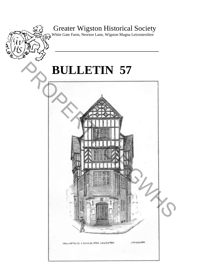## Greater Wigston Historical Society

 $\widehat{\mathbb{W}}$ White Gate Farm, Newton Lane, Wigston Magna Leicestershire

**\_\_\_\_\_\_\_\_\_\_\_\_\_\_\_\_\_\_\_\_\_\_\_\_\_\_\_\_\_\_\_\_\_\_\_\_\_\_\_** 

# **BULLETIN 57**

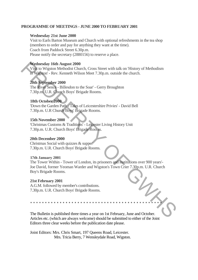### **PROGRAMME OF MEETINGS - JUNE 2000 TO FEBRUARY 2001**

### **Wednesday 21st June 2000**

Visit to Earls Barton Museum and Church with optional refreshments in the tea shop (members to order and pay for anything they want at the time). Coach from Paddock Street 6.30p.m. Please notify the secretary (2880156) to reserve a place.

### **Wednesday 16th August 2000**

Visit to Wigston Methodist Church, Cross Street with talk on 'History of Methodism in Wigston' - Rev. Kenneth Wilson Meet 7.30p.m. outside the church.

### **20th September 2000**

The River Sence - Billesdon to the Soar' - Gerry Broughton 7.30p.m. U.R. Church Boys' Brigade Rooms.

### **18th October 2000**

'Down the Garden Path - Tales of Leicestershire Privies' - David Bell 7.30p.m. U.R Church Boys' Brigade Rooms.

### **15th November 2000**

'Christmas Customs & Traditions' - Leicester Living History Unit 7.30p.m. U.R. Church Boys' Brigade Rooms.

### **20th December 2000**

Christmas Social with quizzes & supper 7.30p.m. U.R. Church Boys' Brigade Rooms.

### **17th January 2001**

The Tower Within - Tower of London, its prisoners and institutions over 900 years'- Joe David, former Yeoman Warder and Wigston's Town Crier 7.30p.m. U.R. Church Boy's Brigade Rooms. Wednesday 16th August 2000<br>
Visit to Wigston Methodist Church, Cross Street with talk on History of Methodism<br>
The River Schel, Nison Meta 7.30p.m. outside the church,<br>
20th September 2000<br>
The River Schel, Billesdon to th

### **21st February 2001**

A.G.M. followed by member's contributions. 7.30p.m. U.R. Church Boys' Brigade Rooms.

The Bulletin is published three times a year on 1st February, June and October. Articles etc. (which are always welcome) should be submitted to either of the Joint Editors three clear weeks before the publication date please.

\*\*\*\*\*\*\*\*\*\*\*\*\*\*\*\*\*\*\*\*\*\*\*\*\*\*\*\*\*\*\*\*\*\*\*\*\*\*\*\*\*\*\*\*\*

Joint Editors: Mrs. Chris Smart, 197 Queens Road, Leicester. Mrs. Tricia Berry, 7 Wensleydale Road, Wigston.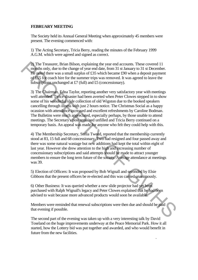### **FEBRUARY MEETING**

The Society held its Annual General Meeting when approximately 45 members were present. The evening commenced with:

1) The Acting Secretary, Tricia Berry, reading the minutes of the February 1999 A.G.M. which were agreed and signed as correct.

2) The Treasurer, Brian Bilson, explaining the year end accounts. These covered 11 months only, due to the change of year end date, from 31 st January to 31 st December. He noted there was a small surplus of £35 which became £90 when a deposit payment of £55 for coach hire for the summer trips was removed. It was agreed to leave the subscriptions unchanged at £7 (full) and £5 (concessionary).

3) The Chairman, Edna Taylor, reporting another very satisfactory year with meetings well attended. Twice disaster had been averted when Peter Clowes stepped in to show some of his wonderful slide collection of old Wigston due to the booked speakers cancelling through illness with just 2 hours notice. The Christmas Social as a happy ocassion with attendance increased and excellent refreshments by Caroline Bodman. The Bulletins were much appreciated, especially perhaps, by those unable to attend meetings. The Secretary's post remained unfilled and Tricia Berry continued on a temporary basis. An appeal was made for anyone who felt they could help with this. 2) The Treasurer. Friend Bilson, explaining the year end accounts. These covered 11<br>
months only, due to the change of year end date, from 31 st January to 31 st Descember.<br>
He noted there was a small surplus of £35 which

4) The Membership Secretary, Stella Tweed, reported that the membership currently stood at 83, 15 full and 68 concessionary. Two had resigned and four passed away and there was some natural wastage but new additions had kept the total within eight of last year. However she drew attention to the high and increasing number of concessionary subscriptions and said attempts should be made to attract younger members to ensure the long term future of the society. Average attendance at meetings was 39.

5) Election of Officers: It was proposed by Bob Wignall and seconded by Elsie Gibbons that the present officers be re-elected and this was carried unanimously.

6) Other Business: It was queried whether a new slide projector had yet been purchased with Ralph Wignall's legacy and Peter Clowes explained that he had been advised to wait because more advanced products would soon be available.

Members were reminded that renewal subscriptions were then due and should be paid that evening if possible.

The second part of the evening was taken up with a very interesting talk by David Toseland on the huge improvements underway at the Peace Memorial Park. How it all started, how the Lottery bid was put together and awarded, and who would benefit in future from the new facilities.

.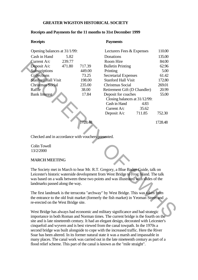### **GREATER WIGSTON HISTORICAL SOCIETY**

### **Receipts and Payments for the 11 months to 31st December 1999**

### **Receipts Payments**

| Opening balances at 31/1/99:                                                                                                                                               |                               |         | Lecturers Fees & Expenses                                                      |        | 110.00  |  |  |
|----------------------------------------------------------------------------------------------------------------------------------------------------------------------------|-------------------------------|---------|--------------------------------------------------------------------------------|--------|---------|--|--|
| Cash in Hand                                                                                                                                                               | 5.82                          |         | Donations                                                                      |        | 135.00  |  |  |
| Current A/c                                                                                                                                                                | 239.77                        |         | Room Hire                                                                      |        | 84.00   |  |  |
| Deposit A/c                                                                                                                                                                | 471.80                        | 717.39  | <b>Bulletin Printing</b>                                                       |        | 62.96   |  |  |
| Subscriptions                                                                                                                                                              |                               | 449.00  | Printing                                                                       |        | 5.00    |  |  |
| Collections                                                                                                                                                                |                               | 73.25   | <b>Secretarial Expenses</b>                                                    |        | 61.42   |  |  |
| <b>Stanford Hall Visit</b>                                                                                                                                                 |                               | 198.00  | <b>Stanford Hall Visit</b>                                                     |        | 172.80  |  |  |
| <b>Christmas Social</b>                                                                                                                                                    |                               | 235.00  | Christmas Social                                                               |        | 269.01  |  |  |
| Raffle                                                                                                                                                                     |                               | 38.00   | Retirement Gift (D Chandler)                                                   |        | 20.99   |  |  |
| <b>Bank Interest</b>                                                                                                                                                       |                               | 17.84   | Deposit for coaches                                                            |        | 55.00   |  |  |
|                                                                                                                                                                            | Closing balances at 31/12/99: |         |                                                                                |        |         |  |  |
|                                                                                                                                                                            |                               |         | Cash in Hand                                                                   | 4.83   |         |  |  |
|                                                                                                                                                                            |                               |         | Current A/c                                                                    | 35.62  |         |  |  |
|                                                                                                                                                                            |                               |         | Deposit A/c                                                                    | 711.85 | 752.30  |  |  |
|                                                                                                                                                                            |                               |         |                                                                                |        |         |  |  |
|                                                                                                                                                                            |                               | 1728.48 |                                                                                |        | 1728.48 |  |  |
|                                                                                                                                                                            |                               |         |                                                                                |        |         |  |  |
|                                                                                                                                                                            |                               |         |                                                                                |        |         |  |  |
| Checked and in accordance with vouchers presented.                                                                                                                         |                               |         |                                                                                |        |         |  |  |
|                                                                                                                                                                            |                               |         |                                                                                |        |         |  |  |
| <b>Colin Towell</b>                                                                                                                                                        |                               |         |                                                                                |        |         |  |  |
| 13/2/2000                                                                                                                                                                  |                               |         |                                                                                |        |         |  |  |
|                                                                                                                                                                            |                               |         |                                                                                |        |         |  |  |
| <b>MARCH MEETING</b>                                                                                                                                                       |                               |         |                                                                                |        |         |  |  |
|                                                                                                                                                                            |                               |         |                                                                                |        |         |  |  |
|                                                                                                                                                                            |                               |         | The Society met in March to hear Mr. R.T. Gregory, a Blue Badge Guide, talk on |        |         |  |  |
| Leicester's historic waterside development from West Bridge to Frog Island. The talk                                                                                       |                               |         |                                                                                |        |         |  |  |
| was based on a walk between these two points and was illustrated with slides of the<br>landmarks passed along the way.                                                     |                               |         |                                                                                |        |         |  |  |
|                                                                                                                                                                            |                               |         |                                                                                |        |         |  |  |
|                                                                                                                                                                            |                               |         |                                                                                |        |         |  |  |
| The first landmark is the terracotta "archway" by West Bridge. This was taken from<br>the entrance to the old fruit market (formerly the fish market) in Yeoman Street and |                               |         |                                                                                |        |         |  |  |
| re-erected on the West Bridge site.                                                                                                                                        |                               |         |                                                                                |        |         |  |  |
|                                                                                                                                                                            |                               |         |                                                                                |        |         |  |  |
| West Bridge has always had economic and military significance and had strategic                                                                                            |                               |         |                                                                                |        |         |  |  |
| importance in both Roman and Norman times. The current bridge is the fourth on the                                                                                         |                               |         |                                                                                |        |         |  |  |
|                                                                                                                                                                            |                               |         |                                                                                |        |         |  |  |

### **MARCH MEETING**

West Bridge has always had economic and military significance and had strategic importance in both Roman and Norman times. The current bridge is the fourth on the site and is late nineteenth century. It had an elegant design, decorated with Leicester's cinquefoil and wyvern and is best viewed from the canal towpath. In the 1970s a second bridge was built alongside to cope with the increased traffic. Here the River Soar has been altered. In its former natural state it was a marsh and impassable in many places. The canal work was carried out in the late nineteenth century as part of a flood relief scheme. This part of the canal is known as the "mile straight".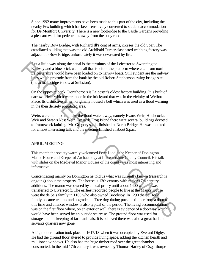Since 1992 many improvments have been made to this part of the city, including the nearby Pex building which has been sensitively converted to student accommodation for De Montfort University. There is a new footbridge to the Castle Gardens providing a pleasant walk for pedestrians away from the busy road.

The nearby Bow Bridge, with Richard Ill's coat of arms, crosses the old Soar. The castellated building that was the old Archibald Turner elasticated webbing factory was adjacent to Bow Bridge, unfortunately it was devastated by fire.

Just a little way along the canal is the terminus of the Leicester to Swannington Railway and a blue brick wall is all that is left of the platform where coal from north Leicestershire would have been loaded on to narrow boats. Still evident are the railway lines which protrude from the bank by the old Robert Stephenson swing bridge site (the actual bridge is now at Snibston).

On the opposite bank, Donithorpe's is Leicester's oldest factory building. It is built of narrow bricks which were made in the brickyard that was in the vicinity of Welford Place. Its distinctive lantern originally housed a bell which was used as a flood warning in the then densely populated area.

Weirs were built to help take the flood water away, namely Evans Weir, Hitchcock's Weir and Swan's Nest Weir. Towards Frog Island there were several buildings devoted to framework knitting. Mr. Gregory's talk finished at North Bridge. He was thanked for a most interesting talk and the meeting finished at about 9.p.m.

### **APRIL MEETING**

This month the society warmly welcomed Peter Liddle the Keeper of Donington Manor House and Keeper of Archaeology at Leicestershire County Council. His talk with slides on the Medieval Manor Houses of the county was most interesting and informative.

Concentrating mainly on Donington he told us what was currently known (research is ongoing) about the property. The house is 13th century with major 17th century additions. The manor was owned by a local priory until about 1400 when it was transferred to Ulverscroft. The earliest recorded people to live at the Manor House were the de Seis family in 1100 who also owned Brooksby. In 1290 the de Herle family became tenants and upgraded it. Tree ring dating puts the timber from a door to this time and a lancet window is also typical of the period. The living accommodation was on the first floor where, on an exterior wall, there is evidence of a doorway which would have been served by an outside staircase. The ground floor was used for storage and the keeping of farm animals. It is believed there was also a great hall and servants quarters now gone. **Journal** at ittle way along the cannal is the terminus of the Leicester to Swannington<br>
Railway and a blue brick wall is all that is left of the platform where ceal from north<br> **Englewershire** would have been loaded on t

A big modernisation took place in 1617/18 when it was occupied by Everard Digby. He had the ground floor altered to provide living space, adding the kitchen hearth and mullioned windows. He also had the huge timber roof over the great chamber constructed. In the mid 17th century it was owned by Thomas Harley of Osgarthorpe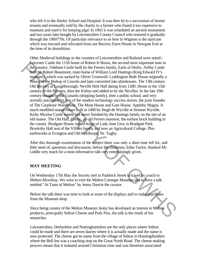who left it to the Harley School and Hospital. It was then let to a succession of farmer tenants and eventually sold by the charity to a farmer who found it too expensive to maintain and used it for keeping pigs! In 1963 it was scheduled an ancient monument and two years later bought by Leicestershire County Council who restored it gradually through the 1960770s. Of particular relevance to us here in Wigston is the staircase which was rescued and relocated from our Rectory Farm House in Newgate End at the time of its demolition.

Other Medieval buildings in the counties of Leicestershire and Rutland were noted:- Leicester Castle the 1150 home of Robert le Bossu, the second most important man in the country. Oakham Castle built by the Ferrers family, Earls of Derby. Ashby Castle built by Robert Beaumont, main home of William Lord Hastings (King Edward IV's treasurer), which was sacked by Oliver Cromwell. Lyddington Bede House originally a Palace of the Bishop of Lincoln and later converted into almshouses. The 13th century Old Rectory at Loughborough. Neville Holt Hall dating from 1280. Home in the 15th century of the Palmers, then the Kirbys and added to by the Nevilles. In the late 19th century bought by the Cunards (shipping family), then a public school, and very recently purchased by one of the modern technology success stories, the joint founder of The Carphone Warehouse. The Moat House and Gate House, Appleby Magna. A much modified manor house built in 1490 by Hugh de Wyville at Stonton Wyville. Kirby Muxloe Castle started but never finished by the Hastings family on the site of an old manor. The Old Hall, Groby, an old Ferrers mansion, the earliest brick building in the county. Bradgate House ruined home of Lady Jane Grey in Bradgate Park. Brooksby Hall seat of the Villiers family and now an Agricultural College. Plus earthworks at Evington and Old Keythorpe, Nr. Tugby. Leicester Castel the 1150 home of Robert le Bossu, the second most important man in<br>the gountry. Oakham Castel built by the Ferrers family, Earls of Derby. Ashby Castle<br>built by Robert Beaumond, main home of William Lord H

After this thorough examination of the subject there was only a short time left for, and little need of, questions and discussion, before the chairman, Edna Taylor, thanked Mr. Liddle very much for a most informative talk very entertainingly given.

### **MAY MEETING**

On Wednesday 17th May the Society met in Paddock Street to travel by coach to Melton Mowbray. We were to visit the Melton Carnegie Museum and to have a talk entitled "At Taste of Melton" by Jenny Dancie the curator.

Before the talk there was time to look at some of the displays and to make purchases from the Museum shop.

Since being curator of the Melton Museum Jenny has developed an interest in Melton products, principally Stilton Cheese and Pork Pies, the talk is the result of her researches.

Leicestershire, Derbyshire and Nottinghamshire are the only places where Stilton could be made and there are seven dairies where it is actually made and the name is now protected. The cheese got its name from the village of Stilton in Huntingdonshire where the Bell Inn was a coaching stop on the Great North Road. The cheese making process meant that it matured around Christmas time and was therefore associated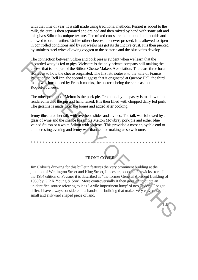with that time of year. It is still made using traditional methods. Rennet is added to the milk, the curd is then separated and drained and then mixed by hand with some salt and this gives Stilton its unique texture. The mixed curds are then tipped into moulds and allowed to drain further. Unlike other cheeses it is never pressed. It is allowed to ripen in controlled conditions and by six weeks has got its distinctive crust. It is then pierced by stainless steel wires allowing oxygen to the bacteria and the blue veins develop.

The connection between Stilton and pork pies is evident when we learn that the discarded whey is fed to pigs. Websters is the only private company still making the cheese that is not part of the Stilton Cheese Makers Association. There are three local stories as to how the cheese originated. The first attributes it to the wife of Francis Paulet of the Bell Inn, the second suggests that it originated at Quenby Hall, the third that it was introduced by French monks, the bacteria being the same as that in Roquefort cheese.

The other product of Melton is the pork pie. Traditionally the pastry is made with the rendered lard of the pig and hand raised. It is then filled with chopped dairy fed pork. The gelatine is made from the bones and added after cooking.

Jenny illustrated her talk with overhead slides and a video. The talk was followed by a glass of wine and the chance to sample Melton Mowbray pork pie and either blue veined Stilton or a white Stilton with apricots. This provided a most enjoyable end to an interesting evening and Jenny was thanked for making us so welcome.

\* \* \* \* \* \* \* \* \* \* \* \* \* \* \* \* \* \* \* \* \* \* \* \* \* \* \* \* \* \* \* \* \* \* \* \* \* \* \* \* \* \* \* \* \*

### **FRONT COVER**

.

T.B.

Jim Colver's drawing for this bulletin features the very prominent building at the junction of Wellington Street and King Street, Leicester, opposite Fenwicks store. In the 1984 edition of Pevsner it is described as "the former General Accident Building of 1930 by G P K Young & Son". More controversially it then goes on to quote an unidentified source referring to it as '"a vile impertinent lump' of neo Tudor"! I beg to differ. I have always considered it a handsome building that makes very clever use of a small and awkward shaped piece of land. discurated whey is lied to pigs. Websites is the only private company still making the<br>dense that is not part of the Stilton Cheese Makers Association. Thee are three local<br>stories to how the cheese originated. The linst a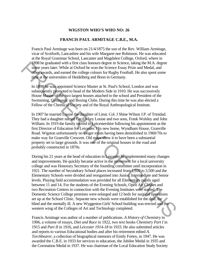### **WIGSTON WHO'S WHO NO: 26**

### **FRANCIS PAUL ARMITAGE C.B.E., M.A.**

Francis Paul Armitage was born on 21/4/1875 the son of the Rev. William Armitage, vicar of Scotforth, Lancashire and his wife Margaret nee Robinson. He was educated at the Royal Grammar School, Lancaster and Magdalen College, Oxford, where in 1898 he graduated with a first class honours degree in Science, taking the M.A. degree some years later. While at Oxford he won the Science Essay Prize and Medal, and other awards, and earned the college colours for Rugby Football. He also spent some time at the universities of Heidelberg and Bonn in Germany.

In 1898 he was appointed Science Master at St. Paul's School, London and was subsequently promoted to head of the Modern Side in 1910. He was successively House Master of the two largest houses attached to the school and President of the Swimming, Gymnastic and Boxing Clubs. During this time he was also elected a Fellow of the Chemical Society and of the Royal Anthropological Institute.

In 1907 he married Louise the daughter of Lieut. Col. J Shine Wilson J.P. of Trinidad. They had a daughter named Cecil Mary Louise and two sons, Frank Wolsley and John William. In 1919 the family moved to Leicestershire following his appointment as the first Director of Education for Leicester. His new home, Wyndham House, Granville Road. Wigston unfortunately no longer exists having been demolished in 1960/70s to make way for Granville Crescent. Old maps show it to have been a substantial property set in large grounds. It was one of the original houses in the road and probably constructed in 1870s.

During his 21 years at the head of education in Leicester he implemented many changes and improvements. He quickly became active in the movement for a local university college and was Honorary Secretary of the founding committee until incorporation in 1921. The number of Secondrary School places increased from 1,920 to 3,500 and the Elementary Schools were divided and reorganised into Junior, Intermediate and Senior levels. Playing field accommodation was provided for all Elementary pupils aged between 11 and 14. For the students of the Evening Schools, Open Air Classes and two Recreation Centres in connection with the Evening Institutes were started. The Domestic Science College premises were enlarged and 12 beds for surgical operations set up at the School Clinic. Separate new schools were established for the deaf, the blind and the mentally ill. A new Wyggeston Girls' School building was erected and the western wing of the Colleges of Art and Technology completed. <sup>1898</sup>Re graduata with a first class honours degree in Science, taking the M.A. degree<br>some years later. While at Oxford he won the Science Essay Prize and Medal, and<br>other words, and earned the college colours for Rugby

Francis Armitage was author of a number of publications. *A History of Chemistry* in 1906, a volume of essays, *Diet and Race* in 1922, two text books *Chemistry Part I* in 1915 and *Part II* in 1916, and *Leicester 1914-18* in 1933. He also submitted articles and reports to various Educational bodies and after his retirement edited *A. Torchbearer,* a collection of biographical memoirs of Emily Fortey, in 1947. He was awarded the C.B.E. in 1933 for services to education, the Jubilee Medal in 1935 and the Coronation Medal in 1937. He was chairman of the Local Education Study Society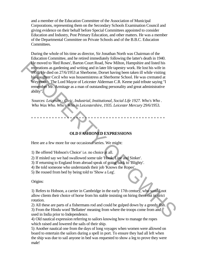and a member of the Education Committee of the Association of Municipal Corporations, representing them on the Secondary Schools Examination Council and giving evidence on their behalf before Special Committees appointed to consider Education and Industry, Post Primary Education, and other matters. He was a member of the Departmental Committee on Private Schools and of the B.B.C. Education Committees.

During the whole of his time as director, Sir Jonathan North was Chairman of the Education Committee, and he retired immediately following the latter's death in 1940. He moved to 'Red Roses', Barton Court Road, New Milton, Hampshire and listed his recreations as gardening and writing and in later life tapestry work. He lost his wife in 1950. He died on 27/6/1953 at Sherborne, Dorset having been taken ill while visiting his daughter Cecil who was housemistress at Sherborne School. He was cremated at Weymouth. The Lord Mayor of Leicester Alderman C.R. Keene paid tribute saying "I remember Mr. Armitage as a man of outstanding personality and great administrative ability". He moved to Reace, Barton Court Road, New Mitton, Hampshire and tisted his reactions as gardening and writing and in later life tapestry work. He lost his wife in 1950 He died on 27/6/1953 at Sherborne, Dorset having been

Sources: *Leicester - Civic, Industrial, Institutional, Social Life 1927. Who's Who . Who Was Who. Who's Who in Leicestershire, 1935. Leicester Mercury* 29/6/1953.

\* \* \* \* \* \* \* \* \* \* \* \* \* \* \* \* \* \* \* \* \* \* \* \* \* \* \* \* \* \* \* \* \* \* \* \* \* \* \* \* \* \* \* \* \*

### **OLD FASHIONED EXPRESSIONS**

Here are a few more for our occasional series. We might:

1) Be offered 'Hobson's Choice' i.e. no choice at all.

2) If misled say we had swallowed some tale 'Hook, Line and Sinker'.

- 3) If returning to England from abroad speak of going back to 'Blighty'.
- 4) Be told someone who understands their job 'Knows the Ropes'.

5) Be roused from bed by being told to 'Show a Leg'.

Origins:

1) Refers to Hobson, a carrier in Cambridge in the early 17th century, who would not allow clients their choice of horse from his stable insisting on hiring them out in strict rotation.

2) All these are parts of a fishermans rod and could be gulped down by a greedy fish. 3) From the Hindu word 'Bellattee' meaning from where the troops come from and used in India prior to Independence.

4) Old nautical expression referring to sailors knowing how to manage the ropes which raised and lowered the sails of their ship.

5) Another nautical one from the days of long voyages when women were allowed on board to entertain the sailors during a spell in port. To ensure they had all left when the ship was due to sail anyone in bed was requested to show a leg to prove they were male!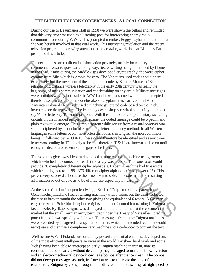### **THE BLETCHLEY PARK CODEBREAKERS - A LOCAL CONNECTION**

During our trip to Beaumanor Hall in 1998 we were shown the cellars and reminded that this very area was used as a listening post for intercepting enemy radio communications during WWII. This prompted member, Peggy Taylor, to mention that she was herself involved in that vital work. This interesting revelation and the recent television programme drawing attention to the amazing work done at Bletchley Park prompted this article.

The need to pass on confidential information privately, mainly for military or commercial reasons, goes back a long way. Secret writing being mentioned by Homer in the Iliad. Arabs during the Middle Ages developed cryptography, the word cipher coming from Sifr, which is Arabic for zero. The Venetians used codes and ciphers extensively but the invention of the telegraphic code by Samuel Morse in 1844 and reliable long distance wireless telegraphy in the early 20th century was really the beginning of mass communication and codebreaking on any scale. Military messages were sent this way by both sides in WW I and it was assumed would be intercepted and therefore sent in code. So the codebreakers - cryptanalysts - arrived. In 1915 an American Edward Hebern devised a machine generated code based on the lately invented electric typewriter. The letter keys were simply rewired so that if you pressed say 'A' the letter say 'K' would print out. With the addition of complementary switching circuits on the intended recipients machine, the coded message could be typed in and plain text would emerge. This simple system while secure from a casual observer was soon deciphered by a codebreaker using the letter frequency method. In all Western languages some letters occur more often than others, in English the most common being 'E' followed by 'A, O & I'. These could therefore be identified and as any three letter word ending in 'E' is likely to be 'the' therefore T & H' are known and so on until enough is deciphered to enable the gaps to be filled. The meet to pass on confidential information privately, manity for military are<br>not continue times. A can be Malle Arabs during the Middle Arabs during the Middle Arabs during the Middle Arabs during the Middle Arabs of t

To avoid this give away Hebern developed a more complex machine using rotors which switched the connections each time a key was pressed. Thus one rotor would provide 26 completely different cipher alphabets. Hebern's machine had five rotors which could generate 11,881,376 different cipher alphabets (26 to power of 5). This proved very successful because the time taken to solve the code made the resulting information so out of date as to be of little use especially in wartime.

At the same time but independently Jugo Koch of Delph took out a patent for a Geheimschrijfinachine (secret writing machine) with 3 rotors but the third 'reflected' the circuit back throught the other two giving the equivalent of 6 rotors. A German engineer Arthur Scherbius bought the rights and manufactured it renaming it 'Enigma' i.e. a puzzle. By 1923 Enigma was displayed at a trade fair aimed at the commercial market but the small German army permitted under the Treaty of Versailles noted its potential and it was speedily withdrawn. The messages from these Enigma machines were preceded by an agreed arrangement of letters which the intended recipient would recognise and then use a complementary machine and a codebook to convert the text.

Well before WW II Poland, surrounded by powerful potential enemies, developed one of the most efficient intelligence services in the world. By sheer hard work and some luck (having been able to intercept an early Enigma machine in transit, note its construction and repack it without detection) they managed to make their own version and an electro-mechanical device known as a bomba after the ice cream. The bomba did not decrypt messages as such, its function was to re-create the state of the enciphering Enigma by going through all the different possible settings at high speed to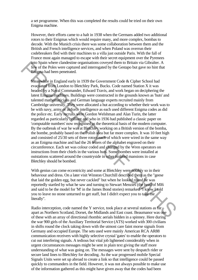a set programme. When this was completed the results could be tried on their own Enigma machine.

However, their efforts came to a halt in 1938 when the Germans added two additional rotors to their Enigmas which would require many, and more complex, bombas to decode. With the Munich crisis there was some collaboration between them and the British and French intelligence services, and when Poland was overrun their codebreakers fled with their machines to a villa just outside Paris. With the fall of France most again managed to escape with their secret equipment over the Pyrenees into Spain where clandestine organisations coveyed them to Britain via Gibralter. A few of the Poles were captured and interrogated by the Gestapo but gave no hint that Enigma had been penetrated.

Meanwhile in England early in 1939 the Government Code & Cipher School had evacuated from London to Bletchley Park, Bucks. Code named Station X it was headed by a Naval Commander, Edward Travis, and work began on deciphering the latest Enigma machines. Buildings were constructed in the grounds known as 'huts' and talented mathematicians and German language experts recruited mainly from Cambridge university. They were allocated a hut according to whether their work was to be with navy, army or airforce intelligence as each used different Enigma codes as did the police etc. Early recruits were Gordon Welshman and Alan Turin, the latter regarded as particularly brilliant and who in 1936 had published a classic paper on 'computable numbers' now recognised as the theoretical basis of the modern computer. By the outbreak of war he was at Bletchley working on a British version of the bomba, the bombe, probably based on the Polish idea but far more complex. It was 10 feet high and consisted of 25/30 sets of three rotors each of which were wired in the same way as an Enigma machine and had the 26 letters of the alphabet engraved on their circumference. Each set was colour coded and changed by the Wren operators on instructions from their chiefs in the various huts. Some bombes were installed at outstations scattered around the countryside in other isolated mansions in case Bletchley should be bombed. To the Poles were clandestine organisations cocyeted then to Britain via Gibralter. A<br>Few of the Poles were captured and interrogated by the Gestapo but gave no hint that<br>European had been penetrated.<br>Meanwhile in England

With genius can come eccentricity and some at Bletchley were notably so in their behaviour and dress. On a later visit Winston Churchill described them as the "geese that laid the golden egg, but never cackled" but when he looked round he was reportedly startled by what he saw and turning to Stewart Menzies (the head of MI6 and said to be the model for 'M' in the James Bond stories) remarked "I know I told you to leave no stone unturned to get staff, but I didn't expect you to take me literally".

Radio interception, code named the Y service, took place at several stations as far apart as Northern Scotland, Dorset, the Midlands and East coast. Beaumanor was one of these with an array of directional rhombic aerials hidden in a spinney. Here during the war 900 girls of the Auxiliary Territorial Service (ATS) worked with 300 civilians in shifts round the clock taking down with the utmost care faint morse signals from Germany and occupied Europe. The sets used were mainly American RCA AR88 communication receivers with highly selective crystal 'gates' to enable the operators to cut out interfering signals. A tedious but vital job lightened considerably when in urgent circumstances messages might be sent in plain text giving the staff more understanding of what was going on. The messages were sent by despatch rider or secure land lines to Bletchley for decoding. As the war progressed mobile Special Signals Units were set up abroad to create a link so that intelligence could be passed quickly to commanders in the field. However, it was not always possible to make use of the information gathered as this might have given away that the codes had been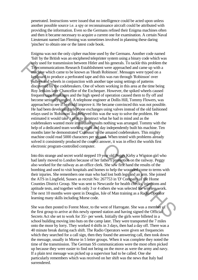penetrated. Instructions were issued that no intelligence could be acted upon unless another possible source i.e. a spy or reconnaissance aircraft could be attributed with providing the information. Even so the Germans refined their Enigma machines often and then it became necessary to acquire a current one for examination. A certain Naval Lieutenant named Ian Fleming was sometimes involved in planning these daring 'pinches' to obtain one or the latest code book.

Enigma was not the only cipher machine used by the Germans. Another code named 'fish' by the British was an enciphered teleprinter system using a binary code which was only used for transmission between Hitler and his generals. To tackle this problem the Telecommunications Research Establishment were approached and came up with a machine which came to be known as 'Heath Robinson'. Messages were typed on a keyboard to produce a perforated tape and this was run through 'Robinson' over pulleys and wheels in conjunction with another tape using settings of patterns discovered by the codebreakers. One of whom working in this area at the time being Roy Jenkins later Chancellor of the Exchequer. However, the spiked wheels caused frequent tape breakages and the high speed of operation caused them to fly off and become seriously tangled. A telephone engineer at Dollis Hill, Tommy Flowers, was approached to see if he could improve it. He became convinced this was not possible. He had been developing telephone exchanges using valves instead of the old fashioned relays used in 'Robinson' and believed this was the way to solve the problem. He estimated it would take a year to construct what he had in mind and as the codebreakers wanted more immediate results nothing was arranged. Tommy with the help of a dedicated team working night and day independently built his machine. Ten months later he demonstrated 'Colossus' to the amazed codebreakers. This mighty machine could read 5000 characters per second. When tested with problems already solved it consistently produced the correct answer, it was in effect the worlds first electronic program-controlled computer. only used for transmission between Hitler and his generals. To tackle this problem the was moreover the communications Research Establishment were approached and came up with a medicine which came to be howon as Heath Robi

Into this strange and secret world stepped 19 year old Peggy Kirby a Wigston girl who had lately moved to London because of her father's promotion on the railway. Peggy also worked for the railway as an office clerk. She saw first hand the results of the bombing and used to visit hospitals and homes to help the wounded come to terms with their injuries. She remembers one man who had lost both legs and an arm. She joined the ATS in Lingfield, Sussex as recruit No: 267753 in 'D' Company of the Home Counties District Group. She was sent to Newcastle for health checks, injections and aptitude tests, and together with only 3 or 4 others she was selected for wireless work. The next 10 months were spent in Douglas, Isle of Man training as a Radio Operator learning many skills including Morse code.

She was then posted to Forest Moor, to the west of Harrogate. She was a member of the first group to arrive at this newly opened station and having signed the Official Secrets Act she set to work for 35/- per week. Initially the girls were billeted in a school building moving into huts on the camp later. They were transported the 7 miles onto the moor by lorry. They worked 4 shifts in 3 days, then had a day off. There was a 40 minute break during each shift. The Radio Operators were given set frequencies which they searched for a call sign, then they found the answering call, then took down the message, usually in Morse in 5 letter groups. When it was complete they noted the time of the transmission. The German SS communications were the most often picked up because they were easier to find not being on the move as were the army and navy. If a plain text message was picked up a supervisor had to be called. One she particularly remembers which was received on her shift was the news that Italy had surrendered.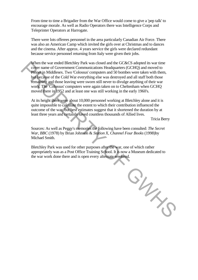From time to time a Brigadier from the War Office would come to give a 'pep talk' to encourage morale. As well as Radio Operators there was Intelligence Corps and Teleprinter Operators at Harrogate.

There were lots offerees personnel in the area particularly Canadian Air Force. There was also an American Camp which invited the girls over at Christmas and to dances and the cinema. After approx. 4 years service the girls were declared redundant because service personnel returning from Italy were given their jobs.

When the war ended Bletchley Park was closed and the GC&CS adopted its war time cover name of Government Communications Headquarters (GCHQ) and moved to Pinner in Middlesex. Two 'Colossus' computers and 50 bombes were taken with them, but because of the Cold War everything else was destroyed and all staff both those remaining and those leaving were sworn still never to divulge anything of their war work. The 'Colossus' computers were again taken on to Cheltenham when GCHQ moved there in 1952 and at least one was still working in the early 1960's.

At its height there were about 10,000 personnel working at Bletchley alone and it is quite impossible to calculate the extent to which their contribution influenced the outcome of the war, but best estimates suggest that it shortened the duration by at least three years and certainly saved countless thousands of Allied lives.

Tricia Berry

Sources: As well as Peggy's memories the following have been consulted: *The Secret War, BBC* (1978) by Brian Johnson & *Station X, Channel Four Books* (1998)by Michael Smith.

Bletchley Park was used for other purposes after the war, one of which rather appropriately was as a Post Office Training School. It is now a Museum dedicated to the war work done there and is open every alternate weekend.

GUN RE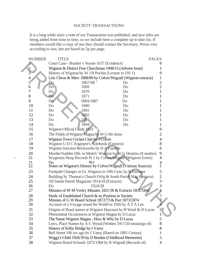### SOCIETY TRANSACTIONS

It is a long while since a note of our Transactions was published, and new titles are being added from time to time, so we include here a complete up to date list. If members would like a copy of one they should contact the Secretary. Prices vary according to size, but are based on 5p per page.

| <b>NUMBER</b>  | TITLE                                                                  |                                                                 |    | <b>PAGES</b>   |  |  |
|----------------|------------------------------------------------------------------------|-----------------------------------------------------------------|----|----------------|--|--|
|                |                                                                        | Court Case - Boulter v Noone 1637 (Evidence)                    |    |                |  |  |
|                |                                                                        | Wigston & District Free Churchman 1908/15 (Adverts from)        |    |                |  |  |
| $\frac{2}{3}$  | History of Wigston by W J R Pochin (Lecture in 1911)                   | 9                                                               |    |                |  |  |
| 4              | Leic Chron & Merc 1888/89 by Colver/Wignall (Wigston extracts)         | $\mathbf 1$                                                     |    |                |  |  |
| $\overline{5}$ | Do                                                                     | 1867/68"                                                        | Do | $\overline{c}$ |  |  |
| 6              | Do                                                                     | 1869                                                            | Do | $\overline{2}$ |  |  |
| 7              | Do                                                                     | 1870                                                            | Do |                |  |  |
| 8              | Do                                                                     | 1871                                                            | Do |                |  |  |
| 9              | Do                                                                     | 1884/1887                                                       | Do |                |  |  |
| 10             | Do                                                                     | 1890                                                            | Do |                |  |  |
| 11             | Do                                                                     | 1891                                                            | Do |                |  |  |
| 12             | Do                                                                     | 1892                                                            | Do |                |  |  |
| 13             | Do                                                                     | 1893                                                            | Do |                |  |  |
| 14             | Do                                                                     | 1894                                                            | Do |                |  |  |
| 15             | Wigston Official Guide 1923                                            |                                                                 |    | 9              |  |  |
| 16             |                                                                        | The Fields of Wigston Magna by W G Ho skins                     |    | $\overline{2}$ |  |  |
| 17             |                                                                        | Wigston Town Cricket Club by J Colver                           |    | $\overline{4}$ |  |  |
| 18             |                                                                        | Wigston U D C Engineer's Notebook (Extracts)                    |    | 8              |  |  |
| 19             | Wigston Junction Brickworks by H A Gamble                              | 6                                                               |    |                |  |  |
| 20             |                                                                        | Murder/Sudden Dth. in Medvl. Wigston by W G Hoskins (8 studies) |    | 9              |  |  |
| 21             |                                                                        | Wygeston Hosp Records Pt 1 by Colver/Wignall (Wigston Extrts)   |    | 4              |  |  |
| 21             | Do                                                                     | Pt2                                                             |    | 4              |  |  |
| 22             |                                                                        | Notes on Wigston's History by Colver/Wignall (Various Sources)  |    | 1              |  |  |
| 23             |                                                                        | Footpath Changes in Gt. Wigston in 19th Cent, by R Essinger     |    | 5              |  |  |
| 24             |                                                                        | Building St. Thomas's Church (Wig & South Parish Mag Extracts)  |    | $\overline{2}$ |  |  |
| 25             |                                                                        | All Saints Parish Magazine 1914/18 (Extracts)                   |    | 3              |  |  |
| 26             | Do                                                                     | 1924/28                                                         |    | $\overline{3}$ |  |  |
| 27             |                                                                        | Minutes of W M Vestry Minutes 1821/30 & Extracts 1831/1842      |    |                |  |  |
| 28             | $\mathcal{P}$<br>Study of Established Church & its Position in Society |                                                                 |    |                |  |  |
| 29             |                                                                        | Minutes of G W Board School 1872/73 & Part 1873/1874            |    |                |  |  |
| 30             |                                                                        | Account of a Voyage round the World in 1920 by A T A Lee        |    |                |  |  |
| 31             |                                                                        | Origins of Road names at Wigston Harcourt by B Ward & D Lucas   |    | $\overline{2}$ |  |  |
| 32             | Phenominal Occurrences at Wigston Magna by D Lucas                     |                                                                 |    |                |  |  |
| 33             | The Name Wigston Magna - How & Why by D Lucas                          |                                                                 |    |                |  |  |
| 34             | Leics. Place Names by A C Wood (Written 1917/20 meanings of)           |                                                                 |    |                |  |  |
| 35             | History of Kilby Bridge by I Varey                                     |                                                                 |    | 8              |  |  |
| 36             |                                                                        | Bell Street 100 yrs ago by I Varey (Based on 1881 Census)       |    |                |  |  |
| 37             |                                                                        | Wiggy's Child 1926/39 by D Boulter (Childhood Memories)         |    | 5              |  |  |
| 38             |                                                                        | Wigston Board Schools 1872/1904 by R Wignall (Records of)       |    | $\overline{4}$ |  |  |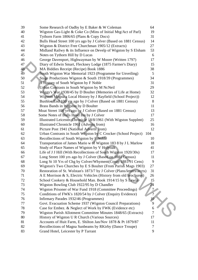| 39 | Some Research of Oadby by E Baker & W Coleman                         | 64 |
|----|-----------------------------------------------------------------------|----|
| 40 | Wigston Gas-Light & Coke Co (Mins of Initial Mtg/Act of Parl)         | 19 |
| 41 | Tythorn Farm 1806/65 (Plans & Copy Docs)                              | 31 |
| 42 | Bulls Head Street 100 yrs ago by J Colver (Based on 1881 Census)      | 14 |
| 43 | Wigston & District Free Churchman 1905/12 (Extracts)                  | 27 |
| 44 | Midland Railwy $\&$ its Influence on Develp of Wigston by S Elsham    | 53 |
| 45 | Notes on Tythorn Hill by D Lucas                                      | 6  |
| 46 | George Davenport, Highwayman by W Moore (Written 1797)                | 17 |
| 47 | Diary of Edwin Smart, Fleckney Lodge (1875 Farmer's Diary)            | 15 |
| 48 | MA Biddies Receipt (Recipe) Book 1886                                 | 38 |
| 49 | South Wigston War Memorial 1923 (Programme for Unveiling)             | 5  |
| 50 | Stage Productions Wigston & South 1918/39 (Programmes)                | 34 |
| 51 | A History of South Wigston by F Noble                                 | 31 |
| 52 | Urban Contrasts in South Wigston by M NcNeil                          | 29 |
| 53 | Wiggy's War 1938/45 by D Boulter (Memories of Life at Home)           | 32 |
| 54 | Wigston Magna a Local History by J Rayfield (School Project))         | 12 |
| 55 | Bushloe End 100 yrs ago by J Colver (Based on 1881 Census)            | 8  |
| 56 | Brass Bands in Wigston by D Boulter                                   | 11 |
| 57 | Moat Street 100 yrs ago by J Colver (Based on 1881 Census)            | 13 |
| 58 | Some Notes of Bulls Head Inn by J Colver                              | 17 |
| 59 | Illustrated Leicester Chronicle 18/8/1961 (With Wigston Supplmt)      | 25 |
| 60 | Illustrated Chronicle 1961 (Adverts from)                             | 16 |
| 61 | Picture Post 1941 (National Adverts from)                             | 12 |
| 62 | Urban Contrasts in South Wigston by C Crocker (School Project)<br>104 |    |
| 63 | Recollections of South Wigston by F Noble                             | 10 |
| 64 | Transportation of James Mario w of Wigston 183 8 by J L Marlow        | 18 |
| 65 | Study of Place Names of Wigston by V Holyoak                          | 41 |
| 66 | Life of J J Hill (With Recollections of South Wigston 1920/30s)       | 17 |
| 67 | Long Street 100 yrs ago by J Colver (Based on 1881 Census)            | 11 |
| 68 | Long St 10 Yrs of Chg by Colver/Whyment(Conip 1881/91 Cens)           | 9  |
| 69 | Wigston's Two Churches by E S Boulter (From Parish Mags 1903)         | 27 |
| 70 | Restoration of St. Wolstan's 1873/7 by J Colver (Plans/letters/accts) | 31 |
| 71 | A E Morrison & S, Electric Vehicles (History from old brochures)      | 26 |
| 72 | School Cookery & Household Man. Book 1914/15 by S Lewin               | 15 |
| 73 | Wigston Bowling Club 1922/95 by D Chandler                            | 24 |
| 74 | Wigston Prisoner of War Fund 1918 (Committee Proceedings)             |    |
| 75 | Conditions of FWK's 1820/54 by J Colver (Enquiry Evidence)            |    |
| 76 | Infirmary Parades 1932/46 (Programmes)                                | 10 |
| 77 | Govt. Evacuation Scheme 1937 (Wigston Council Preparations)           | 9  |
| 78 | Case for Embez. & Neglect of Work by FWK (Evidence etc)               | 6  |
| 79 | Wigston Parish Allotment Committee Minutes 1848/65 (Extracts)         | 7  |
| 80 | History of Wigston U R Church (Various Sources)                       | 17 |
| 81 | Accounts of Huit Farm, E. Shilton Jan/Nov 1878 & Pt 1879/87           | 11 |
| 82 | Recollections of Magna Sunbeams by RKirby (Dance Troupe)              | 7  |
| 83 | Grand Hotel, Leicester by P Tarrant                                   | 9  |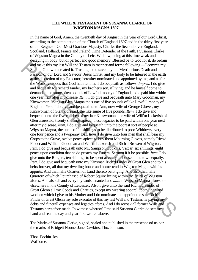### **THE WILL & TESTAMENT OF SUSANNA CLARKE OF WIGSTON MAGNA 1697**

In the name of God, Amen, the twentieth day of August in the year of our Lord Christ, according to the computation of the Church of England 1697 and in the thirty first year of the Reigne of Our Most Gracious Majesty, Charles the Second, over England, Scotland, Holland, France and Ireland, King Defender of the Faith, I Susanna Clarke of Wigston Magna in the County of Leic. Widdow, being at this time weak and decaying in body, but of perfect and good memory, Blessed be to God for it, do ordain and make this my last Will and Testam in manner and forme following.—I commit my Soul to God who created it. Trusting to be saved by the Merritorious Death and Passion of our Lord and Saviour, Jesus Christ, and my body to be Interred in the earth at the discretion of my Executor, hereafter nominated and appointed by me, and as for the Worldly Goods that God hath lent me I do bequeath as follows. *Impris.* I do give and bequeath to Richard Finder, my brother's son, if living, and he himself come to demand it, the sume often pounds of Lawfull money of England, to be paid him within one year next after my disease. *Item.* I do give and bequeath unto Mary Goodman, my Kinswoman, living at Glen Magna the sume of five pounds of like Lawfull money of England. *Item.* I do give and bequeath unto Ann, now wife of George Glover, my Kinswoman of Glen aforesaid, the like sume of five pounds. *Item.* I do give and bequeath unto the five children of my late Kinswoman, late wife of Will'm Lickerish of Glen aforesaid, twenty shillings apiece, these legacies to be paid within one year next after my disease. *Item.* I do give and bequeath unto the poorest sort of people at Wigston Magna, the sume often shillings to be distributed to poor Widdows every one four pence and a twopenny loaf. *Item.* I do give unto four men that shall bear my Corps to the Grave, twelve pence apiece to buy them Mourning Gloves, namely Rich'd Finder and William Goodman and Will'm Lickorish and Rich'd Browen of Wigston. *Item.* I do give and bequeath unto Mr. Sampson Hopkins, Viccar, six shillings, eight pence upon condition that he do preach my Funeral Sermon if it be possible. *Item.* I do give unto the Ringers, ten shillings to be spent at every alehouse in the town equally. *Item.* I do give and bequeath unto my Kinsman Rich'd Finder of Great Glen and to his heirs forever, all that my dwelling house and homestead in Wigston Magna with its appurts. And that halfe Quartern of Land thereto belonging. And also that halfe Quartern of which I purchased of Robert Squire lyeing within the fields of Wigston afores. And also all and every my lands tenanted and ....... in Wigston Magna afores. or elsewhere in the County of Leicester. Also I give unto the said Richard Finder of Great Glenn all my Goods and Chatties, except my wearing apparell, both linen and woollen which I give to his Mother and I do nominate and appoint the said Rich'd Finder of Great Glenn my sole executor of this my last Will and Testam, he paying my debts and funerall expenses and legacies afores. And I do revoak all former Wills and Testams heretofore made. In witness whereof, I the said Susanna Clarke do sett my hand and seal the day and year first written above. because the system and people and because the system and people and in the solution of Solution of Solution of Solution of Firsting to be saved by the Meritionion Beath and Fissiofin of our Lord and Savior . Jesus Christ,

The Marks of Susanna Clarke, signed, sealed and published in the presence od us. viz. the marks of Bridgett Noone, Jane Dawkins. Tho. Johnson.

Thos. Pochin. Jos. WafTorne.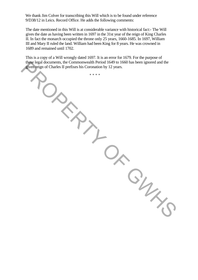We thank Jim Colver for transcribing this Will which is to be found under reference 9/D38/12 in Leics. Record Office. He adds the following comments:

The date mentioned in this Will is at considerable variance with historical fact:- The Will gives the date as having been written in 1697 in the 31st year of the reign of King Charles II. In fact the monarch occupied the throne only 25 years, 1660-1685. In 1697, William III and Mary II ruled the land. William had been King for 8 years. He was crowned in 1689 and remained until 1702.

This is a copy of a Will wrongly dated 1697. It is an error for 1679. For the purpose of these legal documents, the Commonwealth Period 1649 to 1660 has been ignored and the given reign of Charles II prefixes his Coronation by 12 years. these legal documents, the Commonwealth Perod<br>given reign of Charles II prefixes his Coronation by<br>\*\*\*\*\*

\* \* \* \*

 $\frac{2}{\gamma_{c}}$